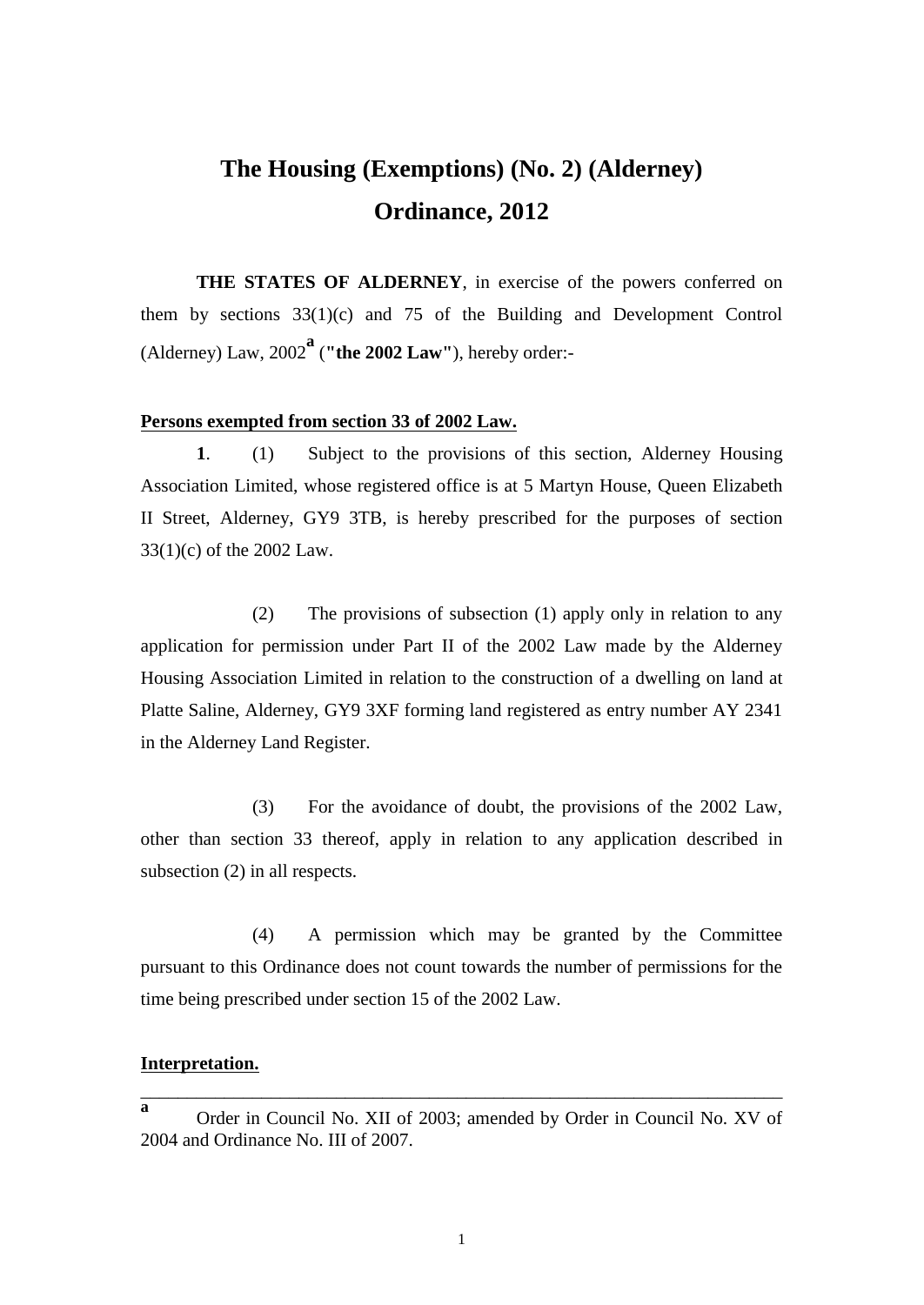## **The Housing (Exemptions) (No. 2) (Alderney) Ordinance, 2012**

**THE STATES OF ALDERNEY**, in exercise of the powers conferred on them by sections 33(1)(c) and 75 of the Building and Development Control (Alderney) Law, 2002**<sup>a</sup>** (**"the 2002 Law"**), hereby order:-

## **Persons exempted from section 33 of 2002 Law.**

**1**. (1) Subject to the provisions of this section, Alderney Housing Association Limited, whose registered office is at 5 Martyn House, Queen Elizabeth II Street, Alderney, GY9 3TB, is hereby prescribed for the purposes of section 33(1)(c) of the 2002 Law.

(2) The provisions of subsection (1) apply only in relation to any application for permission under Part II of the 2002 Law made by the Alderney Housing Association Limited in relation to the construction of a dwelling on land at Platte Saline, Alderney, GY9 3XF forming land registered as entry number AY 2341 in the Alderney Land Register.

(3) For the avoidance of doubt, the provisions of the 2002 Law, other than section 33 thereof, apply in relation to any application described in subsection (2) in all respects.

(4) A permission which may be granted by the Committee pursuant to this Ordinance does not count towards the number of permissions for the time being prescribed under section 15 of the 2002 Law.

## **Interpretation.**

\_\_\_\_\_\_\_\_\_\_\_\_\_\_\_\_\_\_\_\_\_\_\_\_\_\_\_\_\_\_\_\_\_\_\_\_\_\_\_\_\_\_\_\_\_\_\_\_\_\_\_\_\_\_\_\_\_\_\_\_\_\_\_\_\_\_\_\_\_

**a** Order in Council No. XII of 2003; amended by Order in Council No. XV of 2004 and Ordinance No. III of 2007.